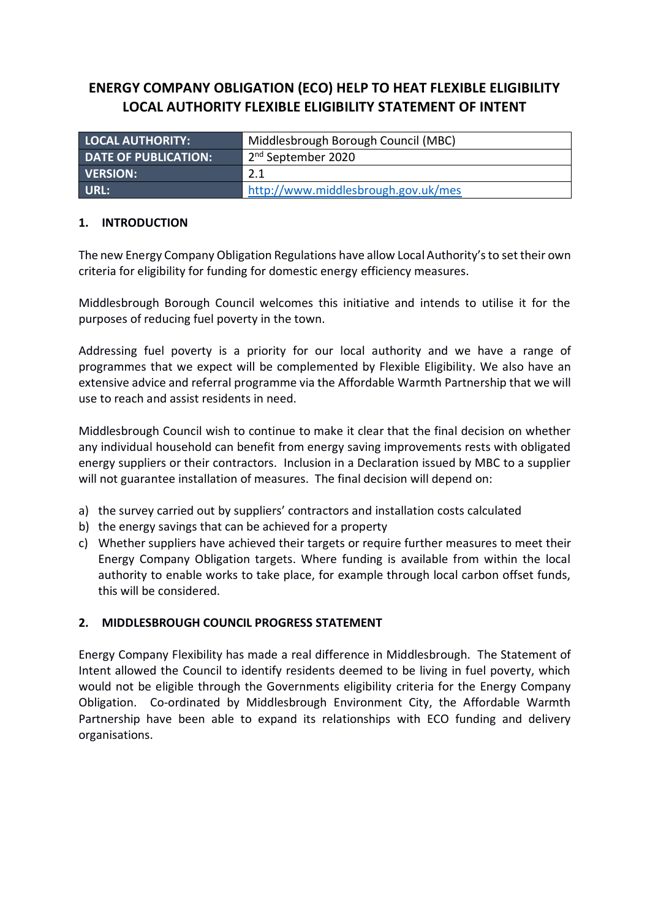# **ENERGY COMPANY OBLIGATION (ECO) HELP TO HEAT FLEXIBLE ELIGIBILITY LOCAL AUTHORITY FLEXIBLE ELIGIBILITY STATEMENT OF INTENT**

| <b>LOCAL AUTHORITY:</b>     | Middlesbrough Borough Council (MBC) |
|-----------------------------|-------------------------------------|
| <b>DATE OF PUBLICATION:</b> | 2 <sup>nd</sup> September 2020      |
| <b>VERSION:</b>             | 2.1                                 |
| URL:                        | http://www.middlesbrough.gov.uk/mes |

## **1. INTRODUCTION**

The new Energy Company Obligation Regulations have allow Local Authority's to set their own criteria for eligibility for funding for domestic energy efficiency measures.

Middlesbrough Borough Council welcomes this initiative and intends to utilise it for the purposes of reducing fuel poverty in the town.

Addressing fuel poverty is a priority for our local authority and we have a range of programmes that we expect will be complemented by Flexible Eligibility. We also have an extensive advice and referral programme via the Affordable Warmth Partnership that we will use to reach and assist residents in need.

Middlesbrough Council wish to continue to make it clear that the final decision on whether any individual household can benefit from energy saving improvements rests with obligated energy suppliers or their contractors. Inclusion in a Declaration issued by MBC to a supplier will not guarantee installation of measures. The final decision will depend on:

- a) the survey carried out by suppliers' contractors and installation costs calculated
- b) the energy savings that can be achieved for a property
- c) Whether suppliers have achieved their targets or require further measures to meet their Energy Company Obligation targets. Where funding is available from within the local authority to enable works to take place, for example through local carbon offset funds, this will be considered.

#### **2. MIDDLESBROUGH COUNCIL PROGRESS STATEMENT**

Energy Company Flexibility has made a real difference in Middlesbrough. The Statement of Intent allowed the Council to identify residents deemed to be living in fuel poverty, which would not be eligible through the Governments eligibility criteria for the Energy Company Obligation. Co-ordinated by Middlesbrough Environment City, the Affordable Warmth Partnership have been able to expand its relationships with ECO funding and delivery organisations.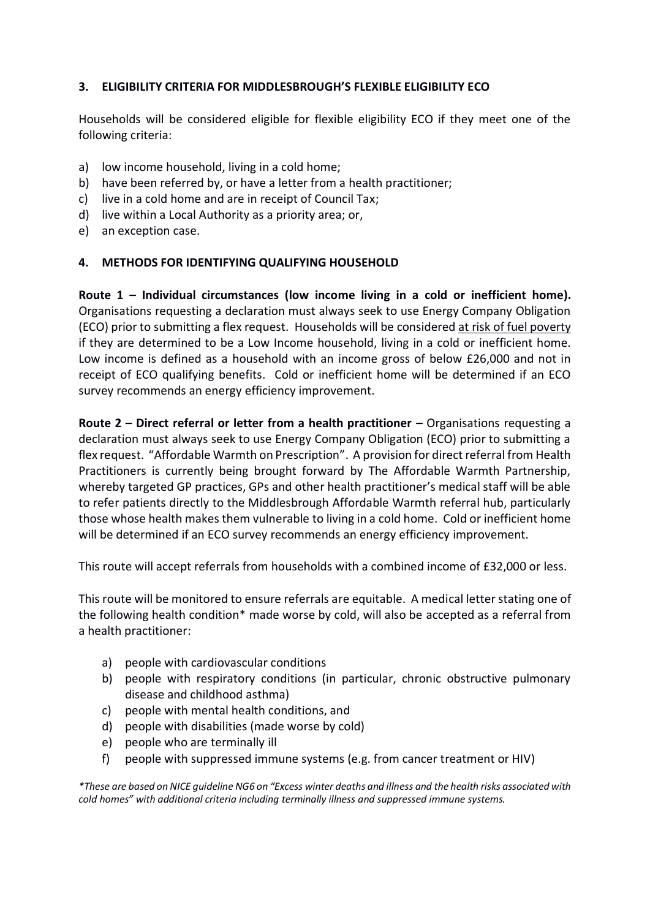# **3. ELIGIBILITY CRITERIA FOR MIDDLESBROUGH'S FLEXIBLE ELIGIBILITY ECO**

Households will be considered eligible for flexible eligibility ECO if they meet one of the following criteria:

- a) low income household, living in a cold home;
- b) have been referred by, or have a letter from a health practitioner;
- c) live in a cold home and are in receipt of Council Tax;
- d) live within a Local Authority as a priority area; or,
- e) an exception case.

### **4. METHODS FOR IDENTIFYING QUALIFYING HOUSEHOLD**

**Route 1 – Individual circumstances (low income living in a cold or inefficient home).** Organisations requesting a declaration must always seek to use Energy Company Obligation (ECO) prior to submitting a flex request. Households will be considered at risk of fuel poverty if they are determined to be a Low Income household, living in a cold or inefficient home. Low income is defined as a household with an income gross of below £26,000 and not in receipt of ECO qualifying benefits. Cold or inefficient home will be determined if an ECO survey recommends an energy efficiency improvement.

**Route 2 – Direct referral or letter from a health practitioner – Organisations requesting a** declaration must always seek to use Energy Company Obligation (ECO) prior to submitting a flex request. "Affordable Warmth on Prescription". A provision for direct referral from Health Practitioners is currently being brought forward by The Affordable Warmth Partnership, whereby targeted GP practices, GPs and other health practitioner's medical staff will be able to refer patients directly to the Middlesbrough Affordable Warmth referral hub, particularly those whose health makes them vulnerable to living in a cold home. Cold or inefficient home will be determined if an ECO survey recommends an energy efficiency improvement.

This route will accept referrals from households with a combined income of £32,000 or less.

This route will be monitored to ensure referrals are equitable. A medical letter stating one of the following health condition\* made worse by cold, will also be accepted as a referral from a health practitioner:

- a) people with cardiovascular conditions
- b) people with respiratory conditions (in particular, chronic obstructive pulmonary disease and childhood asthma)
- c) people with mental health conditions, and
- d) people with disabilities (made worse by cold)
- e) people who are terminally ill
- f) people with suppressed immune systems (e.g. from cancer treatment or HIV)

*\*These are based on NICE guideline NG6 on "Excess winter deaths and illness and the health risks associated with cold homes" with additional criteria including terminally illness and suppressed immune systems.*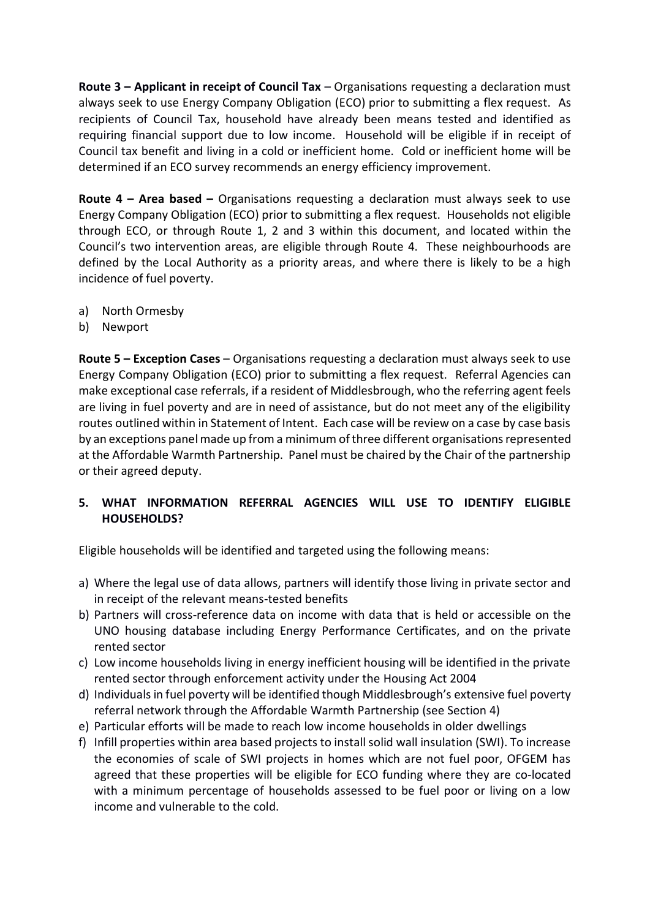**Route 3 – Applicant in receipt of Council Tax** – Organisations requesting a declaration must always seek to use Energy Company Obligation (ECO) prior to submitting a flex request. As recipients of Council Tax, household have already been means tested and identified as requiring financial support due to low income. Household will be eligible if in receipt of Council tax benefit and living in a cold or inefficient home. Cold or inefficient home will be determined if an ECO survey recommends an energy efficiency improvement.

**Route 4 – Area based –** Organisations requesting a declaration must always seek to use Energy Company Obligation (ECO) prior to submitting a flex request. Households not eligible through ECO, or through Route 1, 2 and 3 within this document, and located within the Council's two intervention areas, are eligible through Route 4. These neighbourhoods are defined by the Local Authority as a priority areas, and where there is likely to be a high incidence of fuel poverty.

- a) North Ormesby
- b) Newport

**Route 5 – Exception Cases** – Organisations requesting a declaration must always seek to use Energy Company Obligation (ECO) prior to submitting a flex request. Referral Agencies can make exceptional case referrals, if a resident of Middlesbrough, who the referring agent feels are living in fuel poverty and are in need of assistance, but do not meet any of the eligibility routes outlined within in Statement of Intent. Each case will be review on a case by case basis by an exceptions panel made up from a minimum of three different organisations represented at the Affordable Warmth Partnership. Panel must be chaired by the Chair of the partnership or their agreed deputy.

## **5. WHAT INFORMATION REFERRAL AGENCIES WILL USE TO IDENTIFY ELIGIBLE HOUSEHOLDS?**

Eligible households will be identified and targeted using the following means:

- a) Where the legal use of data allows, partners will identify those living in private sector and in receipt of the relevant means-tested benefits
- b) Partners will cross-reference data on income with data that is held or accessible on the UNO housing database including Energy Performance Certificates, and on the private rented sector
- c) Low income households living in energy inefficient housing will be identified in the private rented sector through enforcement activity under the Housing Act 2004
- d) Individuals in fuel poverty will be identified though Middlesbrough's extensive fuel poverty referral network through the Affordable Warmth Partnership (see Section 4)
- e) Particular efforts will be made to reach low income households in older dwellings
- f) Infill properties within area based projects to install solid wall insulation (SWI). To increase the economies of scale of SWI projects in homes which are not fuel poor, OFGEM has agreed that these properties will be eligible for ECO funding where they are co-located with a minimum percentage of households assessed to be fuel poor or living on a low income and vulnerable to the cold.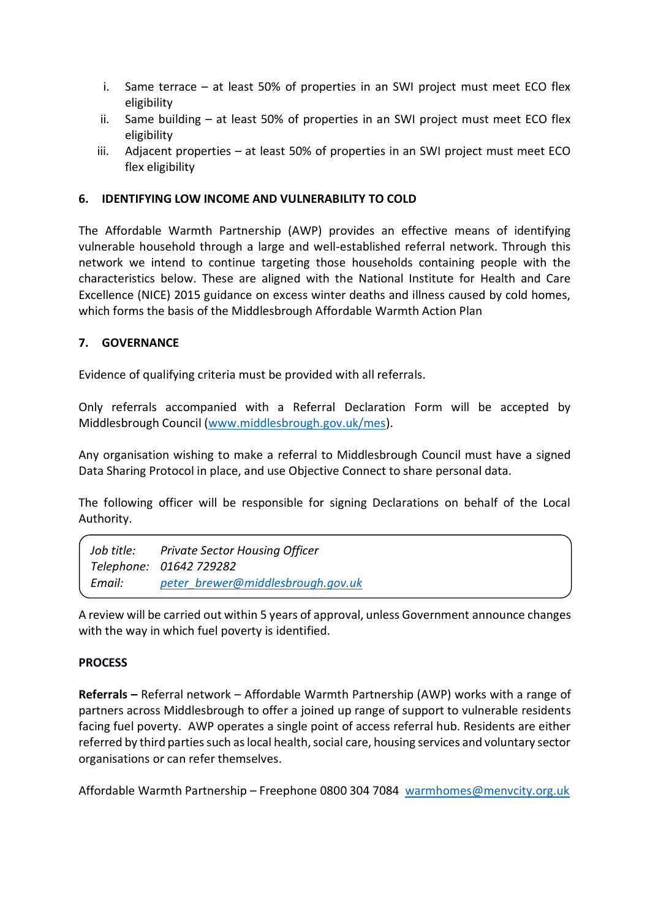- i. Same terrace at least 50% of properties in an SWI project must meet ECO flex eligibility
- ii. Same building at least 50% of properties in an SWI project must meet ECO flex eligibility
- iii. Adjacent properties at least 50% of properties in an SWI project must meet ECO flex eligibility

## **6. IDENTIFYING LOW INCOME AND VULNERABILITY TO COLD**

The Affordable Warmth Partnership (AWP) provides an effective means of identifying vulnerable household through a large and well-established referral network. Through this network we intend to continue targeting those households containing people with the characteristics below. These are aligned with the National Institute for Health and Care Excellence (NICE) 2015 guidance on excess winter deaths and illness caused by cold homes, which forms the basis of the Middlesbrough Affordable Warmth Action Plan

## **7. GOVERNANCE**

Evidence of qualifying criteria must be provided with all referrals.

Only referrals accompanied with a Referral Declaration Form will be accepted by Middlesbrough Council [\(www.middlesbrough.gov.uk/mes\)](http://www.middlesbrough.gov.uk/mes).

Any organisation wishing to make a referral to Middlesbrough Council must have a signed Data Sharing Protocol in place, and use Objective Connect to share personal data.

The following officer will be responsible for signing Declarations on behalf of the Local Authority.

| Job title: | <b>Private Sector Housing Officer</b> |
|------------|---------------------------------------|
|            | Telephone: 01642 729282               |
| Email:     | peter brewer@middlesbrough.gov.uk     |

A review will be carried out within 5 years of approval, unless Government announce changes with the way in which fuel poverty is identified.

#### **PROCESS**

**Referrals –** Referral network – Affordable Warmth Partnership (AWP) works with a range of partners across Middlesbrough to offer a joined up range of support to vulnerable residents facing fuel poverty. AWP operates a single point of access referral hub. Residents are either referred by third parties such as local health, social care, housing services and voluntary sector organisations or can refer themselves.

Affordable Warmth Partnership – Freephone 0800 304 7084 [warmhomes@menvcity.org.uk](mailto:warmhomes@menvcity.org.uk)